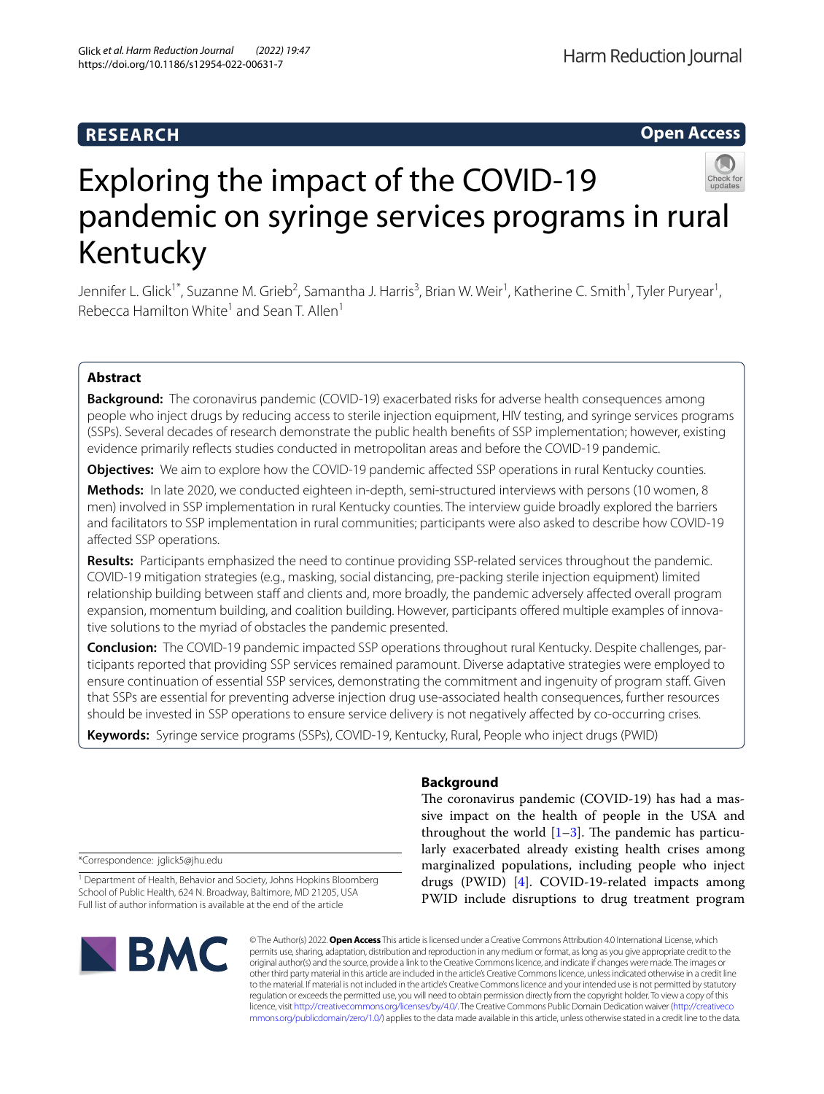# **RESEARCH**

# **Open Access**



# Exploring the impact of the COVID-19 pandemic on syringe services programs in rural Kentucky

Jennifer L. Glick<sup>1\*</sup>, Suzanne M. Grieb<sup>2</sup>, Samantha J. Harris<sup>3</sup>, Brian W. Weir<sup>1</sup>, Katherine C. Smith<sup>1</sup>, Tyler Puryear<sup>1</sup>, Rebecca Hamilton White<sup>1</sup> and Sean T. Allen<sup>1</sup>

# **Abstract**

**Background:** The coronavirus pandemic (COVID-19) exacerbated risks for adverse health consequences among people who inject drugs by reducing access to sterile injection equipment, HIV testing, and syringe services programs (SSPs). Several decades of research demonstrate the public health benefts of SSP implementation; however, existing evidence primarily refects studies conducted in metropolitan areas and before the COVID-19 pandemic.

**Objectives:** We aim to explore how the COVID-19 pandemic affected SSP operations in rural Kentucky counties.

**Methods:** In late 2020, we conducted eighteen in-depth, semi-structured interviews with persons (10 women, 8 men) involved in SSP implementation in rural Kentucky counties. The interview guide broadly explored the barriers and facilitators to SSP implementation in rural communities; participants were also asked to describe how COVID-19 afected SSP operations.

**Results:** Participants emphasized the need to continue providing SSP-related services throughout the pandemic. COVID-19 mitigation strategies (e.g., masking, social distancing, pre-packing sterile injection equipment) limited relationship building between staff and clients and, more broadly, the pandemic adversely affected overall program expansion, momentum building, and coalition building. However, participants ofered multiple examples of innovative solutions to the myriad of obstacles the pandemic presented.

**Conclusion:** The COVID-19 pandemic impacted SSP operations throughout rural Kentucky. Despite challenges, participants reported that providing SSP services remained paramount. Diverse adaptative strategies were employed to ensure continuation of essential SSP services, demonstrating the commitment and ingenuity of program staf. Given that SSPs are essential for preventing adverse injection drug use-associated health consequences, further resources should be invested in SSP operations to ensure service delivery is not negatively afected by co-occurring crises.

**Keywords:** Syringe service programs (SSPs), COVID-19, Kentucky, Rural, People who inject drugs (PWID)

## **Background**

The coronavirus pandemic (COVID-19) has had a massive impact on the health of people in the USA and throughout the world  $[1-3]$  $[1-3]$ . The pandemic has particularly exacerbated already existing health crises among marginalized populations, including people who inject drugs (PWID) [[4\]](#page-6-2). COVID-19-related impacts among PWID include disruptions to drug treatment program

\*Correspondence: jglick5@jhu.edu

<sup>1</sup> Department of Health, Behavior and Society, Johns Hopkins Bloomberg School of Public Health, 624 N. Broadway, Baltimore, MD 21205, USA Full list of author information is available at the end of the article



© The Author(s) 2022. **Open Access** This article is licensed under a Creative Commons Attribution 4.0 International License, which permits use, sharing, adaptation, distribution and reproduction in any medium or format, as long as you give appropriate credit to the original author(s) and the source, provide a link to the Creative Commons licence, and indicate if changes were made. The images or other third party material in this article are included in the article's Creative Commons licence, unless indicated otherwise in a credit line to the material. If material is not included in the article's Creative Commons licence and your intended use is not permitted by statutory regulation or exceeds the permitted use, you will need to obtain permission directly from the copyright holder. To view a copy of this licence, visit [http://creativecommons.org/licenses/by/4.0/.](http://creativecommons.org/licenses/by/4.0/) The Creative Commons Public Domain Dedication waiver ([http://creativeco](http://creativecommons.org/publicdomain/zero/1.0/) [mmons.org/publicdomain/zero/1.0/](http://creativecommons.org/publicdomain/zero/1.0/)) applies to the data made available in this article, unless otherwise stated in a credit line to the data.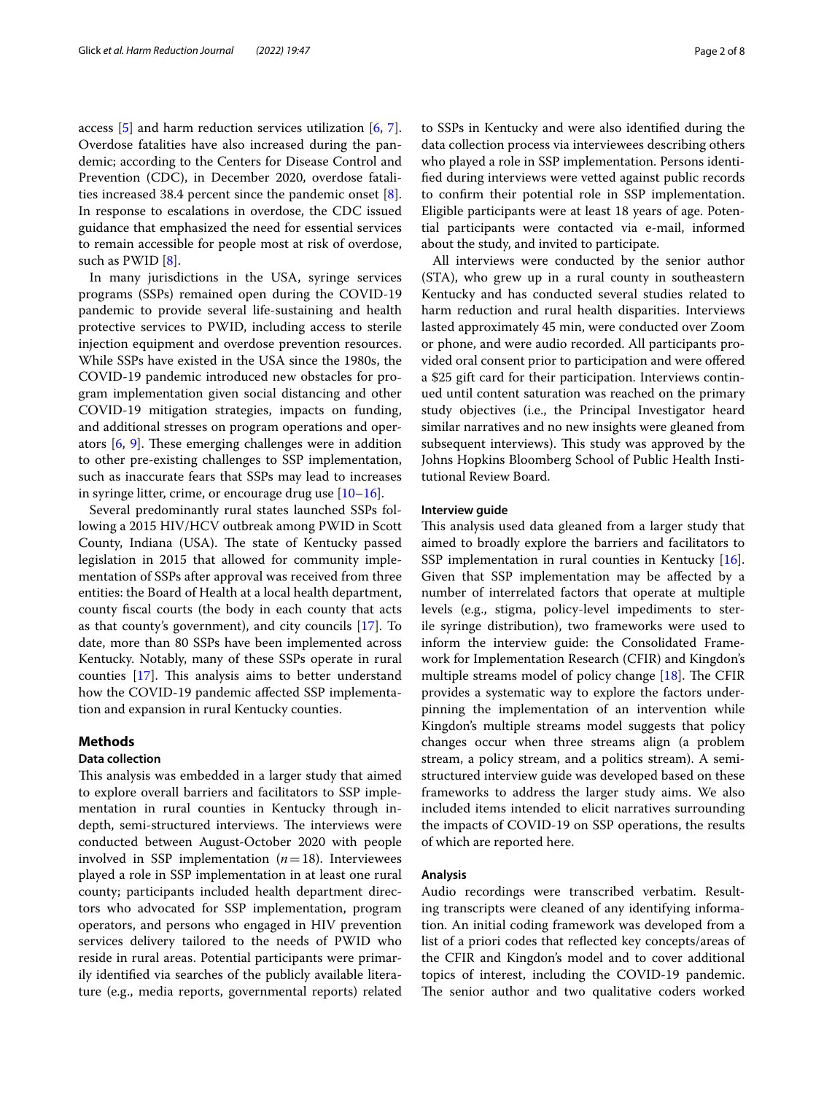access [\[5](#page-6-3)] and harm reduction services utilization [[6,](#page-6-4) [7](#page-6-5)]. Overdose fatalities have also increased during the pandemic; according to the Centers for Disease Control and Prevention (CDC), in December 2020, overdose fatalities increased 38.4 percent since the pandemic onset [\[8](#page-6-6)]. In response to escalations in overdose, the CDC issued guidance that emphasized the need for essential services to remain accessible for people most at risk of overdose, such as PWID [\[8](#page-6-6)].

In many jurisdictions in the USA, syringe services programs (SSPs) remained open during the COVID-19 pandemic to provide several life-sustaining and health protective services to PWID, including access to sterile injection equipment and overdose prevention resources. While SSPs have existed in the USA since the 1980s, the COVID-19 pandemic introduced new obstacles for program implementation given social distancing and other COVID-19 mitigation strategies, impacts on funding, and additional stresses on program operations and operators  $[6, 9]$  $[6, 9]$  $[6, 9]$ . These emerging challenges were in addition to other pre-existing challenges to SSP implementation, such as inaccurate fears that SSPs may lead to increases in syringe litter, crime, or encourage drug use  $[10-16]$  $[10-16]$ .

Several predominantly rural states launched SSPs following a 2015 HIV/HCV outbreak among PWID in Scott County, Indiana (USA). The state of Kentucky passed legislation in 2015 that allowed for community implementation of SSPs after approval was received from three entities: the Board of Health at a local health department, county fscal courts (the body in each county that acts as that county's government), and city councils [\[17\]](#page-6-10). To date, more than 80 SSPs have been implemented across Kentucky. Notably, many of these SSPs operate in rural counties  $[17]$ . This analysis aims to better understand how the COVID-19 pandemic afected SSP implementation and expansion in rural Kentucky counties.

## **Methods**

## **Data collection**

This analysis was embedded in a larger study that aimed to explore overall barriers and facilitators to SSP implementation in rural counties in Kentucky through indepth, semi-structured interviews. The interviews were conducted between August-October 2020 with people involved in SSP implementation (*n*=18). Interviewees played a role in SSP implementation in at least one rural county; participants included health department directors who advocated for SSP implementation, program operators, and persons who engaged in HIV prevention services delivery tailored to the needs of PWID who reside in rural areas. Potential participants were primarily identifed via searches of the publicly available literature (e.g., media reports, governmental reports) related to SSPs in Kentucky and were also identifed during the data collection process via interviewees describing others who played a role in SSP implementation. Persons identifed during interviews were vetted against public records to confrm their potential role in SSP implementation. Eligible participants were at least 18 years of age. Potential participants were contacted via e-mail, informed about the study, and invited to participate.

All interviews were conducted by the senior author (STA), who grew up in a rural county in southeastern Kentucky and has conducted several studies related to harm reduction and rural health disparities. Interviews lasted approximately 45 min, were conducted over Zoom or phone, and were audio recorded. All participants provided oral consent prior to participation and were ofered a \$25 gift card for their participation. Interviews continued until content saturation was reached on the primary study objectives (i.e., the Principal Investigator heard similar narratives and no new insights were gleaned from subsequent interviews). This study was approved by the Johns Hopkins Bloomberg School of Public Health Institutional Review Board.

## **Interview guide**

This analysis used data gleaned from a larger study that aimed to broadly explore the barriers and facilitators to SSP implementation in rural counties in Kentucky [\[16](#page-6-9)]. Given that SSP implementation may be afected by a number of interrelated factors that operate at multiple levels (e.g., stigma, policy-level impediments to sterile syringe distribution), two frameworks were used to inform the interview guide: the Consolidated Framework for Implementation Research (CFIR) and Kingdon's multiple streams model of policy change  $[18]$  $[18]$ . The CFIR provides a systematic way to explore the factors underpinning the implementation of an intervention while Kingdon's multiple streams model suggests that policy changes occur when three streams align (a problem stream, a policy stream, and a politics stream). A semistructured interview guide was developed based on these frameworks to address the larger study aims. We also included items intended to elicit narratives surrounding the impacts of COVID-19 on SSP operations, the results of which are reported here.

## **Analysis**

Audio recordings were transcribed verbatim. Resulting transcripts were cleaned of any identifying information. An initial coding framework was developed from a list of a priori codes that refected key concepts/areas of the CFIR and Kingdon's model and to cover additional topics of interest, including the COVID-19 pandemic. The senior author and two qualitative coders worked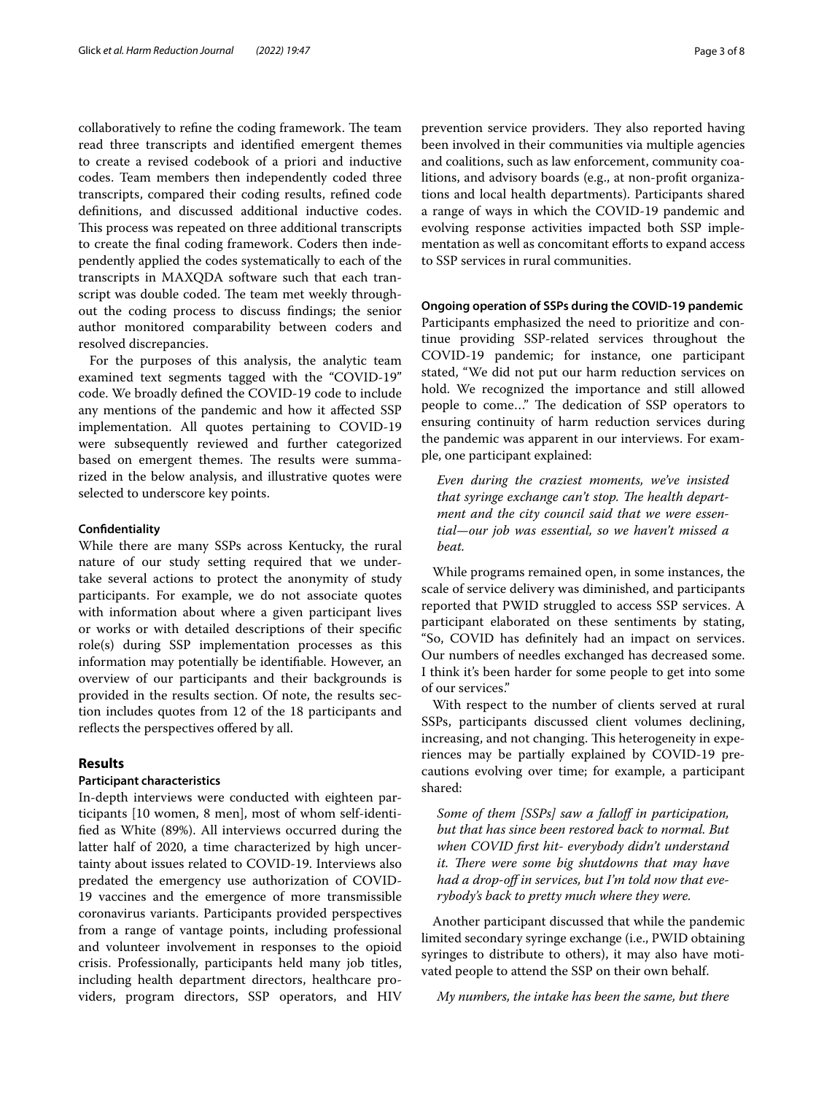collaboratively to refine the coding framework. The team read three transcripts and identifed emergent themes to create a revised codebook of a priori and inductive codes. Team members then independently coded three transcripts, compared their coding results, refned code defnitions, and discussed additional inductive codes. This process was repeated on three additional transcripts to create the fnal coding framework. Coders then independently applied the codes systematically to each of the transcripts in MAXQDA software such that each transcript was double coded. The team met weekly throughout the coding process to discuss fndings; the senior author monitored comparability between coders and resolved discrepancies.

For the purposes of this analysis, the analytic team examined text segments tagged with the "COVID-19" code. We broadly defned the COVID-19 code to include any mentions of the pandemic and how it afected SSP implementation. All quotes pertaining to COVID-19 were subsequently reviewed and further categorized based on emergent themes. The results were summarized in the below analysis, and illustrative quotes were selected to underscore key points.

## **Confdentiality**

While there are many SSPs across Kentucky, the rural nature of our study setting required that we undertake several actions to protect the anonymity of study participants. For example, we do not associate quotes with information about where a given participant lives or works or with detailed descriptions of their specifc role(s) during SSP implementation processes as this information may potentially be identifable. However, an overview of our participants and their backgrounds is provided in the results section. Of note, the results section includes quotes from 12 of the 18 participants and reflects the perspectives offered by all.

## **Results**

## **Participant characteristics**

In-depth interviews were conducted with eighteen participants [10 women, 8 men], most of whom self-identifed as White (89%). All interviews occurred during the latter half of 2020, a time characterized by high uncertainty about issues related to COVID-19. Interviews also predated the emergency use authorization of COVID-19 vaccines and the emergence of more transmissible coronavirus variants. Participants provided perspectives from a range of vantage points, including professional and volunteer involvement in responses to the opioid crisis. Professionally, participants held many job titles, including health department directors, healthcare providers, program directors, SSP operators, and HIV

prevention service providers. They also reported having been involved in their communities via multiple agencies and coalitions, such as law enforcement, community coalitions, and advisory boards (e.g., at non-proft organizations and local health departments). Participants shared a range of ways in which the COVID-19 pandemic and evolving response activities impacted both SSP implementation as well as concomitant efforts to expand access to SSP services in rural communities.

#### **Ongoing operation of SSPs during the COVID‑19 pandemic**

Participants emphasized the need to prioritize and continue providing SSP-related services throughout the COVID-19 pandemic; for instance, one participant stated, "We did not put our harm reduction services on hold. We recognized the importance and still allowed people to come..." The dedication of SSP operators to ensuring continuity of harm reduction services during the pandemic was apparent in our interviews. For example, one participant explained:

*Even during the craziest moments, we've insisted*  that syringe exchange can't stop. The health depart*ment and the city council said that we were essential—our job was essential, so we haven't missed a beat.*

While programs remained open, in some instances, the scale of service delivery was diminished, and participants reported that PWID struggled to access SSP services. A participant elaborated on these sentiments by stating, "So, COVID has defnitely had an impact on services. Our numbers of needles exchanged has decreased some. I think it's been harder for some people to get into some of our services."

With respect to the number of clients served at rural SSPs, participants discussed client volumes declining, increasing, and not changing. This heterogeneity in experiences may be partially explained by COVID-19 precautions evolving over time; for example, a participant shared:

*Some of them [SSPs] saw a fallof in participation, but that has since been restored back to normal. But when COVID frst hit- everybody didn't understand it. There were some big shutdowns that may have* had a drop-off in services, but I'm told now that eve*rybody's back to pretty much where they were.*

Another participant discussed that while the pandemic limited secondary syringe exchange (i.e., PWID obtaining syringes to distribute to others), it may also have motivated people to attend the SSP on their own behalf.

*My numbers, the intake has been the same, but there*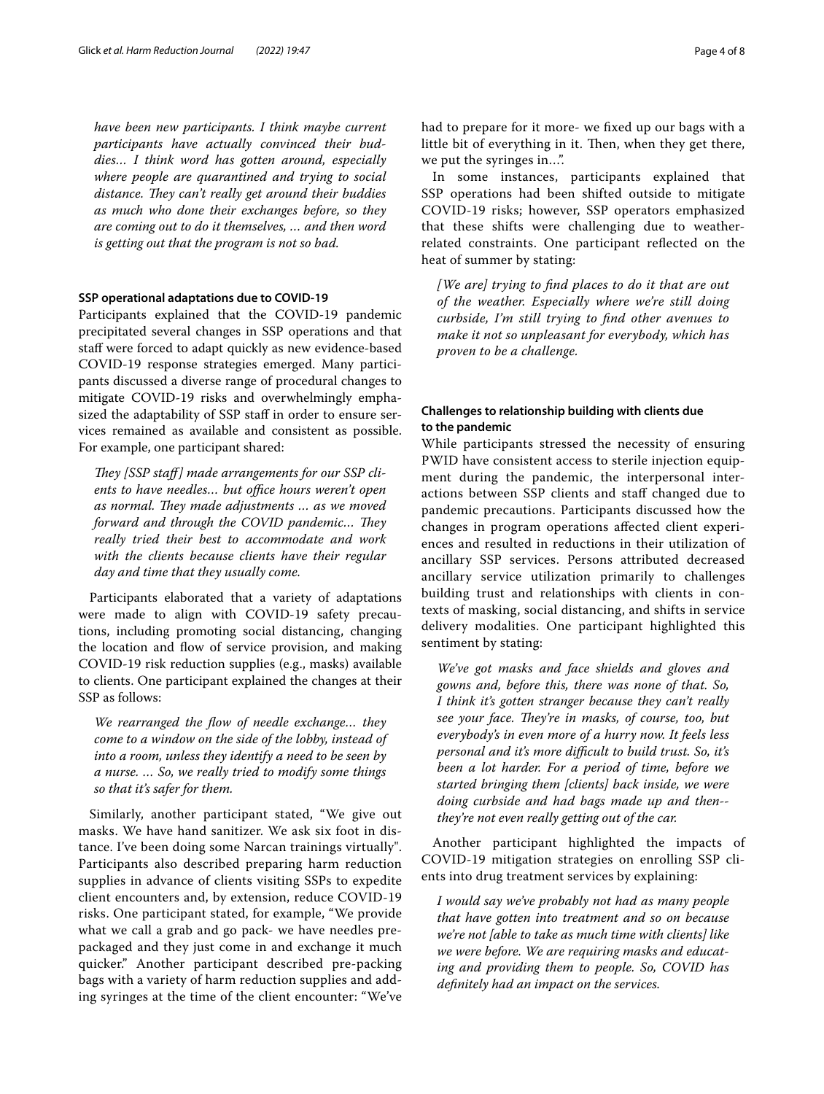*have been new participants. I think maybe current participants have actually convinced their buddies… I think word has gotten around, especially where people are quarantined and trying to social*  distance. They can't really get around their buddies *as much who done their exchanges before, so they are coming out to do it themselves, … and then word is getting out that the program is not so bad.*

## **SSP operational adaptations due to COVID‑19**

Participants explained that the COVID-19 pandemic precipitated several changes in SSP operations and that staff were forced to adapt quickly as new evidence-based COVID-19 response strategies emerged. Many participants discussed a diverse range of procedural changes to mitigate COVID-19 risks and overwhelmingly emphasized the adaptability of SSP staff in order to ensure services remained as available and consistent as possible. For example, one participant shared:

They *[SSP staff]* made arrangements for our *SSP cli*ents to have needles... but office hours weren't open as normal. They made adjustments ... as we moved *forward and through the COVID pandemic... They really tried their best to accommodate and work with the clients because clients have their regular day and time that they usually come.*

Participants elaborated that a variety of adaptations were made to align with COVID-19 safety precautions, including promoting social distancing, changing the location and flow of service provision, and making COVID-19 risk reduction supplies (e.g., masks) available to clients. One participant explained the changes at their SSP as follows:

*We rearranged the fow of needle exchange… they come to a window on the side of the lobby, instead of into a room, unless they identify a need to be seen by a nurse. … So, we really tried to modify some things so that it's safer for them.*

Similarly, another participant stated, "We give out masks. We have hand sanitizer. We ask six foot in distance. I've been doing some Narcan trainings virtually". Participants also described preparing harm reduction supplies in advance of clients visiting SSPs to expedite client encounters and, by extension, reduce COVID-19 risks. One participant stated, for example, "We provide what we call a grab and go pack- we have needles prepackaged and they just come in and exchange it much quicker." Another participant described pre-packing bags with a variety of harm reduction supplies and adding syringes at the time of the client encounter: "We've

had to prepare for it more- we fxed up our bags with a little bit of everything in it. Then, when they get there, we put the syringes in...".

In some instances, participants explained that SSP operations had been shifted outside to mitigate COVID-19 risks; however, SSP operators emphasized that these shifts were challenging due to weatherrelated constraints. One participant refected on the heat of summer by stating:

*[We are] trying to fnd places to do it that are out of the weather. Especially where we're still doing curbside, I'm still trying to fnd other avenues to make it not so unpleasant for everybody, which has proven to be a challenge.*

## **Challenges to relationship building with clients due to the pandemic**

While participants stressed the necessity of ensuring PWID have consistent access to sterile injection equipment during the pandemic, the interpersonal interactions between SSP clients and staf changed due to pandemic precautions. Participants discussed how the changes in program operations afected client experiences and resulted in reductions in their utilization of ancillary SSP services. Persons attributed decreased ancillary service utilization primarily to challenges building trust and relationships with clients in contexts of masking, social distancing, and shifts in service delivery modalities. One participant highlighted this sentiment by stating:

*We've got masks and face shields and gloves and gowns and, before this, there was none of that. So, I think it's gotten stranger because they can't really see your face. They're in masks, of course, too, but everybody's in even more of a hurry now. It feels less personal and it's more difcult to build trust. So, it's been a lot harder. For a period of time, before we started bringing them [clients] back inside, we were doing curbside and had bags made up and then- they're not even really getting out of the car.*

Another participant highlighted the impacts of COVID-19 mitigation strategies on enrolling SSP clients into drug treatment services by explaining:

*I would say we've probably not had as many people that have gotten into treatment and so on because we're not [able to take as much time with clients] like we were before. We are requiring masks and educating and providing them to people. So, COVID has defnitely had an impact on the services.*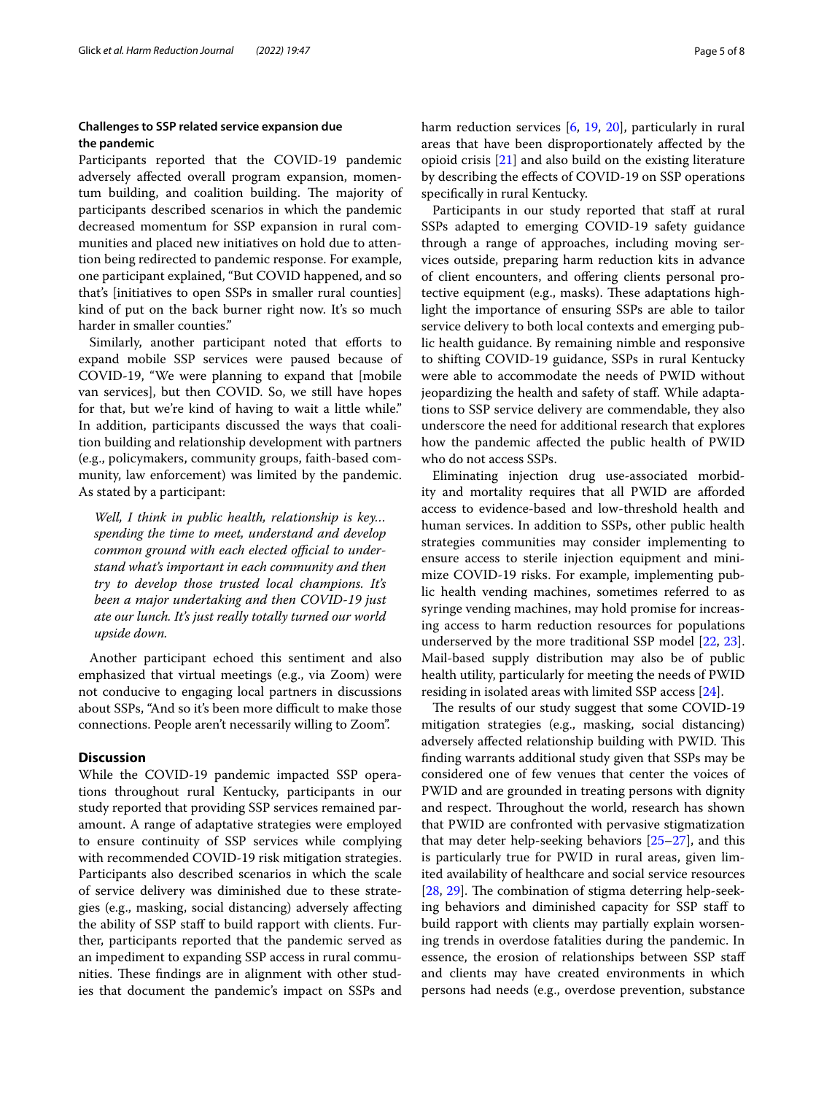## **Challenges to SSP related service expansion due the pandemic**

Participants reported that the COVID-19 pandemic adversely afected overall program expansion, momentum building, and coalition building. The majority of participants described scenarios in which the pandemic decreased momentum for SSP expansion in rural communities and placed new initiatives on hold due to attention being redirected to pandemic response. For example, one participant explained, "But COVID happened, and so that's [initiatives to open SSPs in smaller rural counties] kind of put on the back burner right now. It's so much harder in smaller counties."

Similarly, another participant noted that efforts to expand mobile SSP services were paused because of COVID-19, "We were planning to expand that [mobile van services], but then COVID. So, we still have hopes for that, but we're kind of having to wait a little while." In addition, participants discussed the ways that coalition building and relationship development with partners (e.g., policymakers, community groups, faith-based community, law enforcement) was limited by the pandemic. As stated by a participant:

*Well, I think in public health, relationship is key… spending the time to meet, understand and develop*  common ground with each elected official to under*stand what's important in each community and then try to develop those trusted local champions. It's been a major undertaking and then COVID-19 just ate our lunch. It's just really totally turned our world upside down.*

Another participant echoed this sentiment and also emphasized that virtual meetings (e.g., via Zoom) were not conducive to engaging local partners in discussions about SSPs, "And so it's been more difficult to make those connections. People aren't necessarily willing to Zoom".

## **Discussion**

While the COVID-19 pandemic impacted SSP operations throughout rural Kentucky, participants in our study reported that providing SSP services remained paramount. A range of adaptative strategies were employed to ensure continuity of SSP services while complying with recommended COVID-19 risk mitigation strategies. Participants also described scenarios in which the scale of service delivery was diminished due to these strategies (e.g., masking, social distancing) adversely afecting the ability of SSP staff to build rapport with clients. Further, participants reported that the pandemic served as an impediment to expanding SSP access in rural communities. These findings are in alignment with other studies that document the pandemic's impact on SSPs and harm reduction services [\[6](#page-6-4), [19](#page-6-12), [20\]](#page-6-13), particularly in rural areas that have been disproportionately afected by the opioid crisis [[21\]](#page-6-14) and also build on the existing literature by describing the efects of COVID-19 on SSP operations specifcally in rural Kentucky.

Participants in our study reported that staff at rural SSPs adapted to emerging COVID-19 safety guidance through a range of approaches, including moving services outside, preparing harm reduction kits in advance of client encounters, and ofering clients personal protective equipment (e.g., masks). These adaptations highlight the importance of ensuring SSPs are able to tailor service delivery to both local contexts and emerging public health guidance. By remaining nimble and responsive to shifting COVID-19 guidance, SSPs in rural Kentucky were able to accommodate the needs of PWID without jeopardizing the health and safety of staf. While adaptations to SSP service delivery are commendable, they also underscore the need for additional research that explores how the pandemic afected the public health of PWID who do not access SSPs.

Eliminating injection drug use-associated morbidity and mortality requires that all PWID are aforded access to evidence-based and low-threshold health and human services. In addition to SSPs, other public health strategies communities may consider implementing to ensure access to sterile injection equipment and minimize COVID-19 risks. For example, implementing public health vending machines, sometimes referred to as syringe vending machines, may hold promise for increasing access to harm reduction resources for populations underserved by the more traditional SSP model [\[22](#page-6-15), [23](#page-6-16)]. Mail-based supply distribution may also be of public health utility, particularly for meeting the needs of PWID residing in isolated areas with limited SSP access [\[24\]](#page-6-17).

The results of our study suggest that some COVID-19 mitigation strategies (e.g., masking, social distancing) adversely affected relationship building with PWID. This fnding warrants additional study given that SSPs may be considered one of few venues that center the voices of PWID and are grounded in treating persons with dignity and respect. Throughout the world, research has shown that PWID are confronted with pervasive stigmatization that may deter help-seeking behaviors [[25](#page-6-18)[–27](#page-6-19)], and this is particularly true for PWID in rural areas, given limited availability of healthcare and social service resources [[28,](#page-6-20) [29\]](#page-6-21). The combination of stigma deterring help-seeking behaviors and diminished capacity for SSP staf to build rapport with clients may partially explain worsening trends in overdose fatalities during the pandemic. In essence, the erosion of relationships between SSP staf and clients may have created environments in which persons had needs (e.g., overdose prevention, substance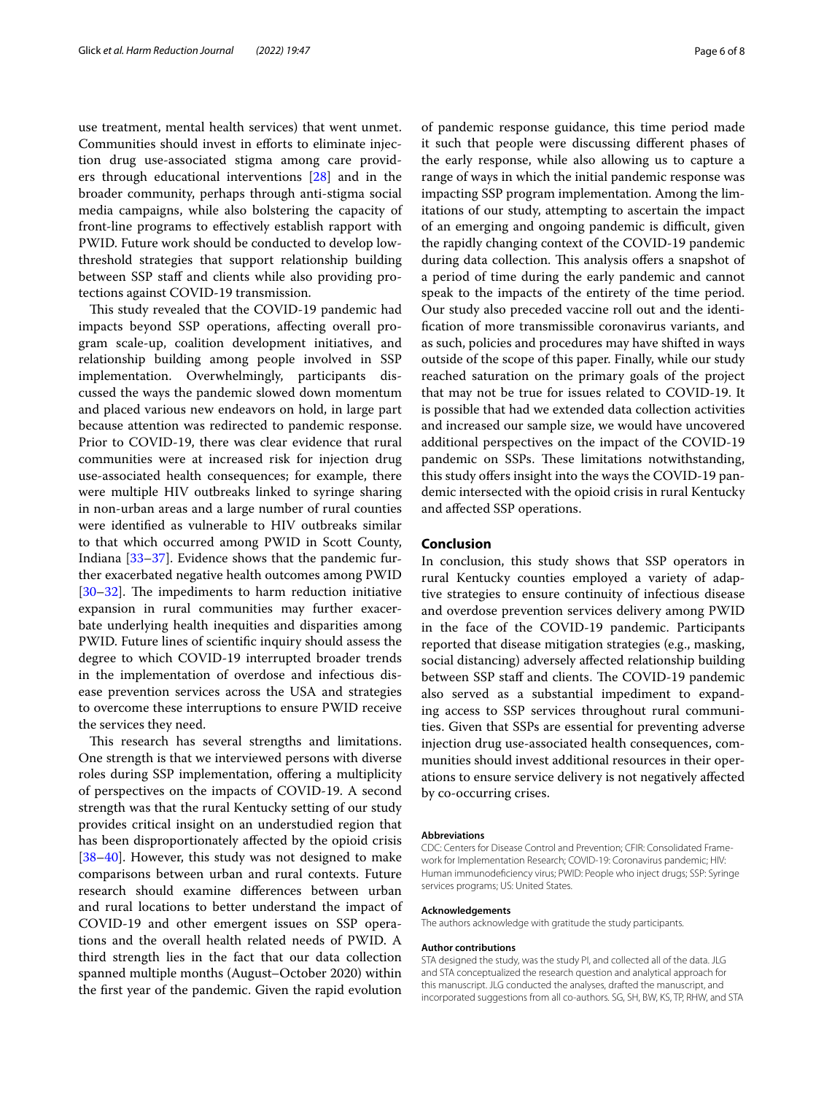use treatment, mental health services) that went unmet. Communities should invest in efforts to eliminate injection drug use-associated stigma among care providers through educational interventions [\[28](#page-6-20)] and in the broader community, perhaps through anti-stigma social media campaigns, while also bolstering the capacity of front-line programs to efectively establish rapport with PWID. Future work should be conducted to develop lowthreshold strategies that support relationship building between SSP staff and clients while also providing protections against COVID-19 transmission.

This study revealed that the COVID-19 pandemic had impacts beyond SSP operations, afecting overall program scale-up, coalition development initiatives, and relationship building among people involved in SSP implementation. Overwhelmingly, participants discussed the ways the pandemic slowed down momentum and placed various new endeavors on hold, in large part because attention was redirected to pandemic response. Prior to COVID-19, there was clear evidence that rural communities were at increased risk for injection drug use-associated health consequences; for example, there were multiple HIV outbreaks linked to syringe sharing in non-urban areas and a large number of rural counties were identifed as vulnerable to HIV outbreaks similar to that which occurred among PWID in Scott County, Indiana [\[33–](#page-7-0)[37\]](#page-7-1). Evidence shows that the pandemic further exacerbated negative health outcomes among PWID  $[30-32]$  $[30-32]$  $[30-32]$ . The impediments to harm reduction initiative expansion in rural communities may further exacerbate underlying health inequities and disparities among PWID. Future lines of scientifc inquiry should assess the degree to which COVID-19 interrupted broader trends in the implementation of overdose and infectious disease prevention services across the USA and strategies to overcome these interruptions to ensure PWID receive the services they need.

This research has several strengths and limitations. One strength is that we interviewed persons with diverse roles during SSP implementation, offering a multiplicity of perspectives on the impacts of COVID-19. A second strength was that the rural Kentucky setting of our study provides critical insight on an understudied region that has been disproportionately afected by the opioid crisis [[38–](#page-7-3)[40](#page-7-4)]. However, this study was not designed to make comparisons between urban and rural contexts. Future research should examine diferences between urban and rural locations to better understand the impact of COVID-19 and other emergent issues on SSP operations and the overall health related needs of PWID. A third strength lies in the fact that our data collection spanned multiple months (August–October 2020) within the frst year of the pandemic. Given the rapid evolution of pandemic response guidance, this time period made it such that people were discussing diferent phases of the early response, while also allowing us to capture a range of ways in which the initial pandemic response was impacting SSP program implementation. Among the limitations of our study, attempting to ascertain the impact of an emerging and ongoing pandemic is difficult, given the rapidly changing context of the COVID-19 pandemic during data collection. This analysis offers a snapshot of a period of time during the early pandemic and cannot speak to the impacts of the entirety of the time period. Our study also preceded vaccine roll out and the identifcation of more transmissible coronavirus variants, and as such, policies and procedures may have shifted in ways outside of the scope of this paper. Finally, while our study reached saturation on the primary goals of the project that may not be true for issues related to COVID-19. It is possible that had we extended data collection activities and increased our sample size, we would have uncovered additional perspectives on the impact of the COVID-19 pandemic on SSPs. These limitations notwithstanding, this study ofers insight into the ways the COVID-19 pandemic intersected with the opioid crisis in rural Kentucky

## **Conclusion**

and afected SSP operations.

In conclusion, this study shows that SSP operators in rural Kentucky counties employed a variety of adaptive strategies to ensure continuity of infectious disease and overdose prevention services delivery among PWID in the face of the COVID-19 pandemic. Participants reported that disease mitigation strategies (e.g., masking, social distancing) adversely afected relationship building between SSP staff and clients. The COVID-19 pandemic also served as a substantial impediment to expanding access to SSP services throughout rural communities. Given that SSPs are essential for preventing adverse injection drug use-associated health consequences, communities should invest additional resources in their operations to ensure service delivery is not negatively afected by co-occurring crises.

#### **Abbreviations**

CDC: Centers for Disease Control and Prevention; CFIR: Consolidated Framework for Implementation Research; COVID-19: Coronavirus pandemic; HIV: Human immunodefciency virus; PWID: People who inject drugs; SSP: Syringe services programs; US: United States.

#### **Acknowledgements**

The authors acknowledge with gratitude the study participants.

#### **Author contributions**

STA designed the study, was the study PI, and collected all of the data. JLG and STA conceptualized the research question and analytical approach for this manuscript. JLG conducted the analyses, drafted the manuscript, and incorporated suggestions from all co-authors. SG, SH, BW, KS, TP, RHW, and STA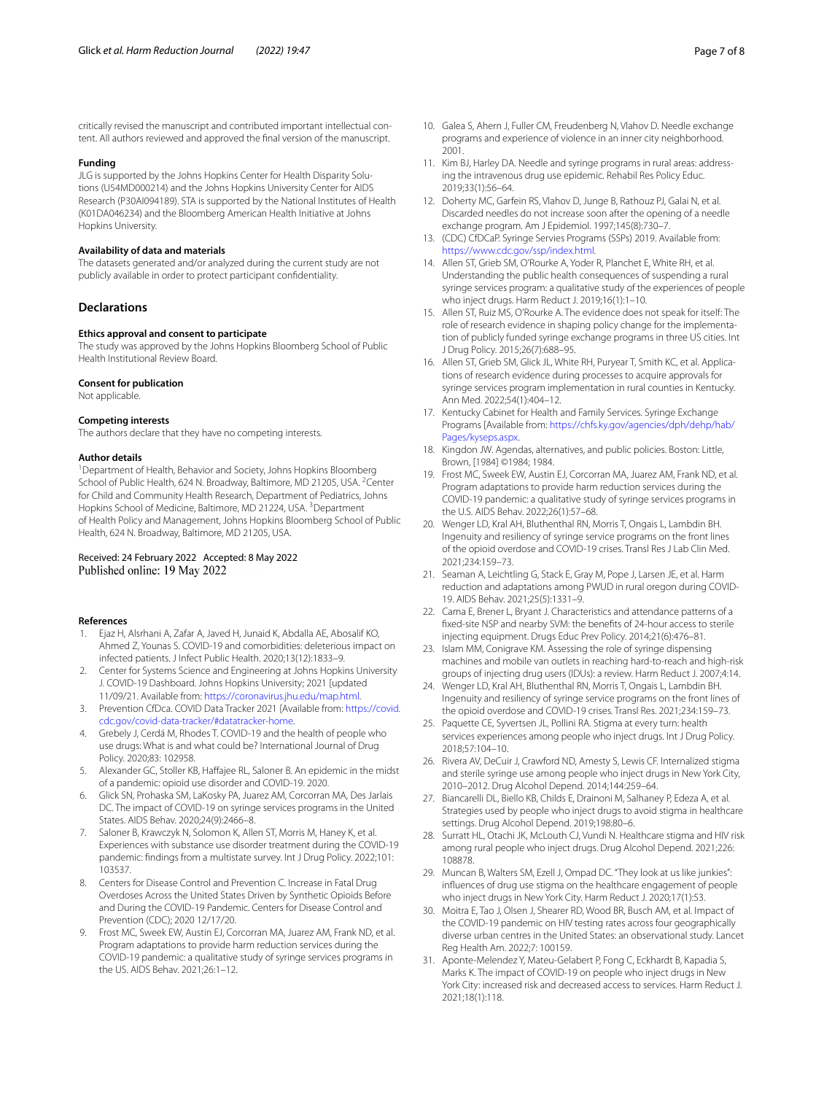critically revised the manuscript and contributed important intellectual content. All authors reviewed and approved the fnal version of the manuscript.

#### **Funding**

JLG is supported by the Johns Hopkins Center for Health Disparity Solutions (U54MD000214) and the Johns Hopkins University Center for AIDS Research (P30AI094189). STA is supported by the National Institutes of Health (K01DA046234) and the Bloomberg American Health Initiative at Johns Hopkins University.

#### **Availability of data and materials**

The datasets generated and/or analyzed during the current study are not publicly available in order to protect participant confdentiality.

## **Declarations**

#### **Ethics approval and consent to participate**

The study was approved by the Johns Hopkins Bloomberg School of Public Health Institutional Review Board.

#### **Consent for publication**

Not applicable.

#### **Competing interests**

The authors declare that they have no competing interests.

#### **Author details**

<sup>1</sup> Department of Health, Behavior and Society, Johns Hopkins Bloomberg School of Public Health, 624 N. Broadway, Baltimore, MD 21205, USA. <sup>2</sup>Center for Child and Community Health Research, Department of Pediatrics, Johns Hopkins School of Medicine, Baltimore, MD 21224, USA.<sup>3</sup> Department of Health Policy and Management, Johns Hopkins Bloomberg School of Public Health, 624 N. Broadway, Baltimore, MD 21205, USA.

## Received: 24 February 2022 Accepted: 8 May 2022 Published online: 19 May 2022

## **References**

- <span id="page-6-0"></span>1. Ejaz H, Alsrhani A, Zafar A, Javed H, Junaid K, Abdalla AE, Abosalif KO, Ahmed Z, Younas S. COVID-19 and comorbidities: deleterious impact on infected patients. J Infect Public Health. 2020;13(12):1833–9.
- 2. Center for Systems Science and Engineering at Johns Hopkins University J. COVID-19 Dashboard. Johns Hopkins University; 2021 [updated 11/09/21. Available from: [https://coronavirus.jhu.edu/map.html.](https://coronavirus.jhu.edu/map.html)
- <span id="page-6-1"></span>3. Prevention CfDca. COVID Data Tracker 2021 [Available from: [https://covid.](https://covid.cdc.gov/covid-data-tracker/#datatracker-home) [cdc.gov/covid-data-tracker/#datatracker-home.](https://covid.cdc.gov/covid-data-tracker/#datatracker-home)
- <span id="page-6-2"></span>4. Grebely J, Cerdá M, Rhodes T. COVID-19 and the health of people who use drugs: What is and what could be? International Journal of Drug Policy. 2020;83: 102958.
- <span id="page-6-3"></span>5. Alexander GC, Stoller KB, Hafajee RL, Saloner B. An epidemic in the midst of a pandemic: opioid use disorder and COVID-19. 2020.
- <span id="page-6-4"></span>6. Glick SN, Prohaska SM, LaKosky PA, Juarez AM, Corcorran MA, Des Jarlais DC. The impact of COVID-19 on syringe services programs in the United States. AIDS Behav. 2020;24(9):2466–8.
- <span id="page-6-5"></span>7. Saloner B, Krawczyk N, Solomon K, Allen ST, Morris M, Haney K, et al. Experiences with substance use disorder treatment during the COVID-19 pandemic: fndings from a multistate survey. Int J Drug Policy. 2022;101: 103537.
- <span id="page-6-6"></span>8. Centers for Disease Control and Prevention C. Increase in Fatal Drug Overdoses Across the United States Driven by Synthetic Opioids Before and During the COVID-19 Pandemic. Centers for Disease Control and Prevention (CDC); 2020 12/17/20.
- <span id="page-6-7"></span>9. Frost MC, Sweek EW, Austin EJ, Corcorran MA, Juarez AM, Frank ND, et al. Program adaptations to provide harm reduction services during the COVID-19 pandemic: a qualitative study of syringe services programs in the US. AIDS Behav. 2021;26:1–12.
- <span id="page-6-8"></span>10. Galea S, Ahern J, Fuller CM, Freudenberg N, Vlahov D. Needle exchange programs and experience of violence in an inner city neighborhood. 2001.
- 11. Kim BJ, Harley DA. Needle and syringe programs in rural areas: addressing the intravenous drug use epidemic. Rehabil Res Policy Educ. 2019;33(1):56–64.
- 12. Doherty MC, Garfein RS, Vlahov D, Junge B, Rathouz PJ, Galai N, et al. Discarded needles do not increase soon after the opening of a needle exchange program. Am J Epidemiol. 1997;145(8):730–7.
- 13. (CDC) CfDCaP. Syringe Servies Programs (SSPs) 2019. Available from: [https://www.cdc.gov/ssp/index.html.](https://www.cdc.gov/ssp/index.html)
- 14. Allen ST, Grieb SM, O'Rourke A, Yoder R, Planchet E, White RH, et al. Understanding the public health consequences of suspending a rural syringe services program: a qualitative study of the experiences of people who inject drugs. Harm Reduct J. 2019;16(1):1–10.
- 15. Allen ST, Ruiz MS, O'Rourke A. The evidence does not speak for itself: The role of research evidence in shaping policy change for the implementation of publicly funded syringe exchange programs in three US cities. Int J Drug Policy. 2015;26(7):688–95.
- <span id="page-6-9"></span>16. Allen ST, Grieb SM, Glick JL, White RH, Puryear T, Smith KC, et al. Applications of research evidence during processes to acquire approvals for syringe services program implementation in rural counties in Kentucky. Ann Med. 2022;54(1):404–12.
- <span id="page-6-10"></span>17. Kentucky Cabinet for Health and Family Services. Syringe Exchange Programs [Available from: [https://chfs.ky.gov/agencies/dph/dehp/hab/](https://chfs.ky.gov/agencies/dph/dehp/hab/Pages/kyseps.aspx) [Pages/kyseps.aspx.](https://chfs.ky.gov/agencies/dph/dehp/hab/Pages/kyseps.aspx)
- <span id="page-6-11"></span>18. Kingdon JW. Agendas, alternatives, and public policies. Boston: Little, Brown, [1984] ©1984; 1984.
- <span id="page-6-12"></span>19. Frost MC, Sweek EW, Austin EJ, Corcorran MA, Juarez AM, Frank ND, et al. Program adaptations to provide harm reduction services during the COVID-19 pandemic: a qualitative study of syringe services programs in the U.S. AIDS Behav. 2022;26(1):57–68.
- <span id="page-6-13"></span>20. Wenger LD, Kral AH, Bluthenthal RN, Morris T, Ongais L, Lambdin BH. Ingenuity and resiliency of syringe service programs on the front lines of the opioid overdose and COVID-19 crises. Transl Res J Lab Clin Med. 2021;234:159–73.
- <span id="page-6-14"></span>21. Seaman A, Leichtling G, Stack E, Gray M, Pope J, Larsen JE, et al. Harm reduction and adaptations among PWUD in rural oregon during COVID-19. AIDS Behav. 2021;25(5):1331–9.
- <span id="page-6-15"></span>22. Cama E, Brener L, Bryant J. Characteristics and attendance patterns of a fxed-site NSP and nearby SVM: the benefts of 24-hour access to sterile injecting equipment. Drugs Educ Prev Policy. 2014;21(6):476–81.
- <span id="page-6-16"></span>23. Islam MM, Conigrave KM. Assessing the role of syringe dispensing machines and mobile van outlets in reaching hard-to-reach and high-risk groups of injecting drug users (IDUs): a review. Harm Reduct J. 2007;4:14.
- <span id="page-6-17"></span>24. Wenger LD, Kral AH, Bluthenthal RN, Morris T, Ongais L, Lambdin BH. Ingenuity and resiliency of syringe service programs on the front lines of the opioid overdose and COVID-19 crises. Transl Res. 2021;234:159–73.
- <span id="page-6-18"></span>25. Paquette CE, Syvertsen JL, Pollini RA. Stigma at every turn: health services experiences among people who inject drugs. Int J Drug Policy. 2018;57:104–10.
- 26. Rivera AV, DeCuir J, Crawford ND, Amesty S, Lewis CF. Internalized stigma and sterile syringe use among people who inject drugs in New York City, 2010–2012. Drug Alcohol Depend. 2014;144:259–64.
- <span id="page-6-19"></span>27. Biancarelli DL, Biello KB, Childs E, Drainoni M, Salhaney P, Edeza A, et al. Strategies used by people who inject drugs to avoid stigma in healthcare settings. Drug Alcohol Depend. 2019;198:80–6.
- <span id="page-6-20"></span>28. Surratt HL, Otachi JK, McLouth CJ, Vundi N. Healthcare stigma and HIV risk among rural people who inject drugs. Drug Alcohol Depend. 2021;226: 108878.
- <span id="page-6-21"></span>29. Muncan B, Walters SM, Ezell J, Ompad DC. "They look at us like junkies": infuences of drug use stigma on the healthcare engagement of people who inject drugs in New York City. Harm Reduct J. 2020;17(1):53.
- <span id="page-6-22"></span>30. Moitra E, Tao J, Olsen J, Shearer RD, Wood BR, Busch AM, et al. Impact of the COVID-19 pandemic on HIV testing rates across four geographically diverse urban centres in the United States: an observational study. Lancet Reg Health Am. 2022;7: 100159.
- 31. Aponte-Melendez Y, Mateu-Gelabert P, Fong C, Eckhardt B, Kapadia S, Marks K. The impact of COVID-19 on people who inject drugs in New York City: increased risk and decreased access to services. Harm Reduct J. 2021;18(1):118.